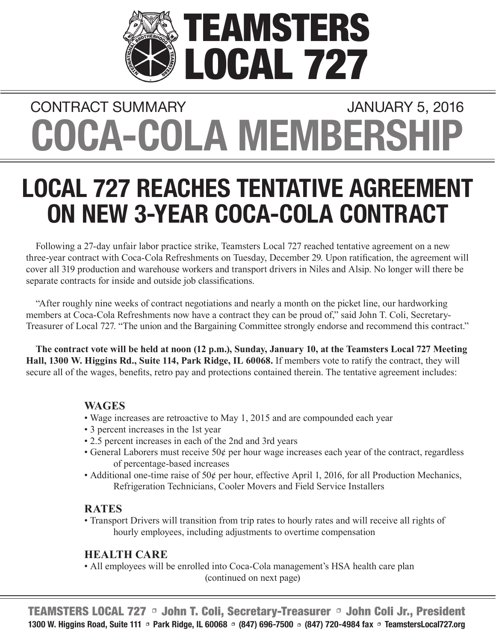

# **COCA-COLA MEMBERSHIP** CONTRACT SUMMARY **CONTRACT SUMMARY**

# **LOCAL 727 REACHES TENTATIVE AGREEMENT ON NEW 3-YEAR COCA-COLA CONTRACT**

Following a 27-day unfair labor practice strike, Teamsters Local 727 reached tentative agreement on a new three-year contract with Coca-Cola Refreshments on Tuesday, December 29. Upon ratification, the agreement will cover all 319 production and warehouse workers and transport drivers in Niles and Alsip. No longer will there be separate contracts for inside and outside job classifications.

"After roughly nine weeks of contract negotiations and nearly a month on the picket line, our hardworking members at Coca-Cola Refreshments now have a contract they can be proud of," said John T. Coli, Secretary-Treasurer of Local 727. "The union and the Bargaining Committee strongly endorse and recommend this contract."

**The contract vote will be held at noon (12 p.m.), Sunday, January 10, at the Teamsters Local 727 Meeting Hall, 1300 W. Higgins Rd., Suite 114, Park Ridge, IL 60068.** If members vote to ratify the contract, they will secure all of the wages, benefits, retro pay and protections contained therein. The tentative agreement includes:

### **WAGES**

- Wage increases are retroactive to May 1, 2015 and are compounded each year
- 3 percent increases in the 1st year
- 2.5 percent increases in each of the 2nd and 3rd years
- General Laborers must receive 50¢ per hour wage increases each year of the contract, regardless of percentage-based increases
- Additional one-time raise of 50¢ per hour, effective April 1, 2016, for all Production Mechanics, Refrigeration Technicians, Cooler Movers and Field Service Installers

## **RATES**

 • Transport Drivers will transition from trip rates to hourly rates and will receive all rights of hourly employees, including adjustments to overtime compensation

## **HEALTH CARE**

 • All employees will be enrolled into Coca-Cola management's HSA health care plan (continued on next page)